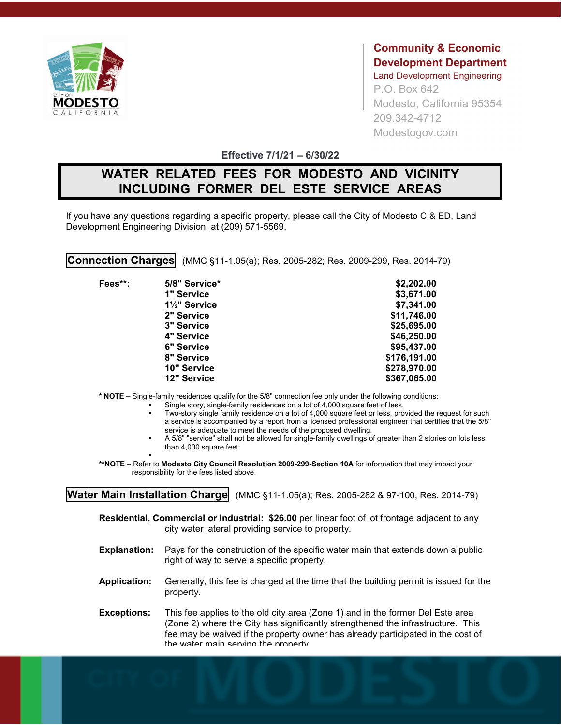

**Community & Economic Development Department** Land Development Engineering P.O. Box 642 Modesto, California 95354 209.342-4712 Modestogov.com

**Effective 7/1/21 – 6/30/22**

## **WATER RELATED FEES FOR MODESTO AND VICINITY INCLUDING FORMER DEL ESTE SERVICE AREAS**

If you have any questions regarding a specific property, please call the City of Modesto C & ED, Land Development Engineering Division, at (209) 571-5569.

**Connection Charges** (MMC §11-1.05(a); Res. 2005-282; Res. 2009-299, Res. 2014-79)

| Fees**: | 5/8" Service*                           | \$2,202.00   |
|---------|-----------------------------------------|--------------|
|         | 1" Service                              | \$3,671.00   |
|         | 1 <sup>1</sup> / <sub>2</sub> " Service | \$7,341.00   |
|         | 2" Service                              | \$11,746.00  |
|         | 3" Service                              | \$25,695.00  |
|         | 4" Service                              | \$46,250.00  |
|         | 6" Service                              | \$95,437.00  |
|         | 8" Service                              | \$176,191.00 |
|         | 10" Service                             | \$278,970.00 |
|         | 12" Service                             | \$367,065.00 |

**\* NOTE –** Single-family residences qualify for the 5/8" connection fee only under the following conditions:

- Single story, single-family residences on a lot of 4,000 square feet of less.
- Two-story single family residence on a lot of 4,000 square feet or less, provided the request for such a service is accompanied by a report from a licensed professional engineer that certifies that the 5/8" service is adequate to meet the needs of the proposed dwelling.
- A 5/8" "service" shall not be allowed for single-family dwellings of greater than 2 stories on lots less than 4,000 square feet.

. **\*\*NOTE –** Refer to **Modesto City Council Resolution 2009-299-Section 10A** for information that may impact your responsibility for the fees listed above.

**Water Main Installation Charge** (MMC §11-1.05(a); Res. 2005-282 & 97-100, Res. 2014-79)

**Residential, Commercial or Industrial: \$26.00** per linear foot of lot frontage adjacent to any city water lateral providing service to property.

- **Explanation:** Pays for the construction of the specific water main that extends down a public right of way to serve a specific property.
- **Application:** Generally, this fee is charged at the time that the building permit is issued for the property.
- **Exceptions:** This fee applies to the old city area (Zone 1) and in the former Del Este area (Zone 2) where the City has significantly strengthened the infrastructure. This fee may be waived if the property owner has already participated in the cost of the water main serving the property.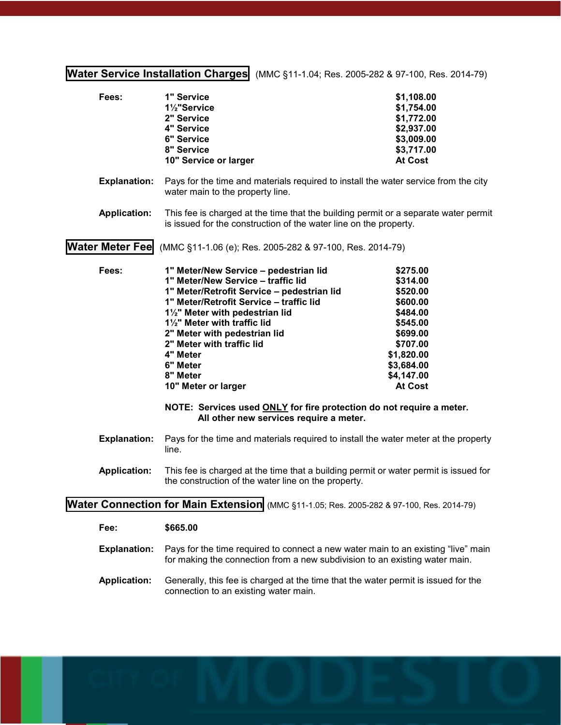**Water Service Installation Charges** (MMC §11-1.04; Res. 2005-282 & 97-100, Res. 2014-79)

| Fees:                                                                                    | 1" Service<br>1 <sup>1</sup> / <sub>2</sub> "Service<br>2" Service<br>4" Service<br><b>6" Service</b><br>8" Service<br>10" Service or larger                                                                                                                                                                                                                                                                                                                                                                 | \$1,108.00<br>\$1,754.00<br>\$1,772.00<br>\$2,937.00<br>\$3,009.00<br>\$3,717.00<br><b>At Cost</b>                                                       |  |  |  |  |  |
|------------------------------------------------------------------------------------------|--------------------------------------------------------------------------------------------------------------------------------------------------------------------------------------------------------------------------------------------------------------------------------------------------------------------------------------------------------------------------------------------------------------------------------------------------------------------------------------------------------------|----------------------------------------------------------------------------------------------------------------------------------------------------------|--|--|--|--|--|
| <b>Explanation:</b>                                                                      | Pays for the time and materials required to install the water service from the city<br>water main to the property line.                                                                                                                                                                                                                                                                                                                                                                                      |                                                                                                                                                          |  |  |  |  |  |
| <b>Application:</b>                                                                      | This fee is charged at the time that the building permit or a separate water permit<br>is issued for the construction of the water line on the property.                                                                                                                                                                                                                                                                                                                                                     |                                                                                                                                                          |  |  |  |  |  |
| <b>Water Meter Fee</b>                                                                   | (MMC §11-1.06 (e); Res. 2005-282 & 97-100, Res. 2014-79)                                                                                                                                                                                                                                                                                                                                                                                                                                                     |                                                                                                                                                          |  |  |  |  |  |
| Fees:                                                                                    | 1" Meter/New Service - pedestrian lid<br>1" Meter/New Service - traffic lid<br>1" Meter/Retrofit Service - pedestrian lid<br>1" Meter/Retrofit Service - traffic lid<br>1 <sup>1</sup> / <sub>2</sub> " Meter with pedestrian lid<br>11/2" Meter with traffic lid<br>2" Meter with pedestrian lid<br>2" Meter with traffic lid<br>4" Meter<br>6" Meter<br>8" Meter<br>10" Meter or larger<br>NOTE: Services used ONLY for fire protection do not require a meter.<br>All other new services require a meter. | \$275.00<br>\$314.00<br>\$520.00<br>\$600.00<br>\$484.00<br>\$545.00<br>\$699.00<br>\$707.00<br>\$1,820.00<br>\$3,684.00<br>\$4,147.00<br><b>At Cost</b> |  |  |  |  |  |
| <b>Explanation:</b>                                                                      | Pays for the time and materials required to install the water meter at the property<br>line.                                                                                                                                                                                                                                                                                                                                                                                                                 |                                                                                                                                                          |  |  |  |  |  |
| <b>Application:</b>                                                                      | This fee is charged at the time that a building permit or water permit is issued for<br>the construction of the water line on the property.                                                                                                                                                                                                                                                                                                                                                                  |                                                                                                                                                          |  |  |  |  |  |
| Water Connection for Main Extension (MMC §11-1.05; Res. 2005-282 & 97-100, Res. 2014-79) |                                                                                                                                                                                                                                                                                                                                                                                                                                                                                                              |                                                                                                                                                          |  |  |  |  |  |
| Fee:                                                                                     | \$665.00                                                                                                                                                                                                                                                                                                                                                                                                                                                                                                     |                                                                                                                                                          |  |  |  |  |  |
| <b>Explanation:</b>                                                                      | Pays for the time required to connect a new water main to an existing "live" main<br>for making the connection from a new subdivision to an existing water main.                                                                                                                                                                                                                                                                                                                                             |                                                                                                                                                          |  |  |  |  |  |
| <b>Application:</b>                                                                      | Generally, this fee is charged at the time that the water permit is issued for the<br>connection to an existing water main.                                                                                                                                                                                                                                                                                                                                                                                  |                                                                                                                                                          |  |  |  |  |  |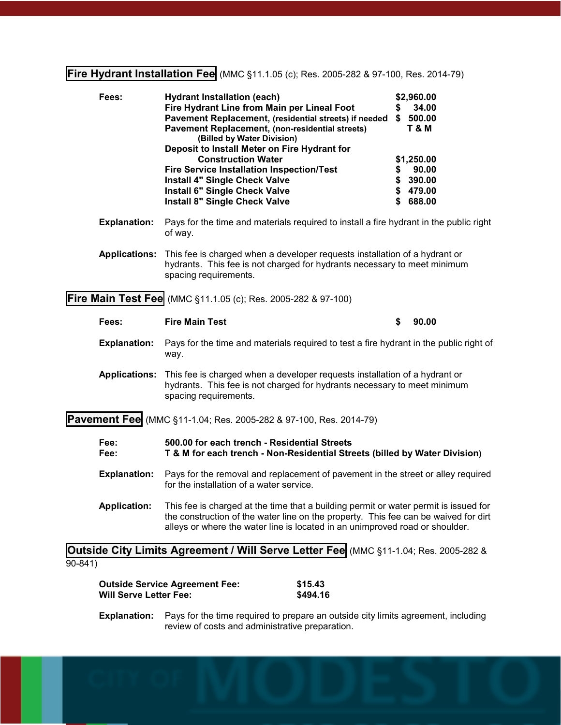## **Fire Hydrant Installation Fee** (MMC §11.1.05 (c); Res. 2005-282 & 97-100, Res. 2014-79)

| Fees:               | <b>Hydrant Installation (each)</b>                                                     |   | \$2,960.00 |  |
|---------------------|----------------------------------------------------------------------------------------|---|------------|--|
|                     | Fire Hydrant Line from Main per Lineal Foot                                            | 5 | 34.00      |  |
|                     | Pavement Replacement, (residential streets) if needed                                  | S | 500.00     |  |
|                     | Pavement Replacement, (non-residential streets)<br>(Billed by Water Division)          |   | T & M      |  |
|                     | Deposit to Install Meter on Fire Hydrant for                                           |   |            |  |
|                     | <b>Construction Water</b>                                                              |   | \$1,250.00 |  |
|                     | <b>Fire Service Installation Inspection/Test</b>                                       |   | 90.00      |  |
|                     | <b>Install 4" Single Check Valve</b>                                                   |   | \$390.00   |  |
|                     | Install 6" Single Check Valve                                                          |   | \$479.00   |  |
|                     | <b>Install 8" Single Check Valve</b>                                                   |   | \$688.00   |  |
| <b>Explanation:</b> | Pays for the time and materials required to install a fire hydrant in the public right |   |            |  |

- of way.
- **Applications:** This fee is charged when a developer requests installation of a hydrant or hydrants. This fee is not charged for hydrants necessary to meet minimum spacing requirements.

**Fire Main Test Fee** (MMC §11.1.05 (c); Res. 2005-282 & 97-100)

|                                                                          | Fees:                | <b>Fire Main Test</b>                                                                                                                                                                                                                                       | S | 90.00 |  |  |  |
|--------------------------------------------------------------------------|----------------------|-------------------------------------------------------------------------------------------------------------------------------------------------------------------------------------------------------------------------------------------------------------|---|-------|--|--|--|
|                                                                          | <b>Explanation:</b>  | Pays for the time and materials required to test a fire hydrant in the public right of<br>way.                                                                                                                                                              |   |       |  |  |  |
|                                                                          | <b>Applications:</b> | This fee is charged when a developer requests installation of a hydrant or<br>hydrants. This fee is not charged for hydrants necessary to meet minimum<br>spacing requirements.                                                                             |   |       |  |  |  |
| <b>Pavement Fee</b> (MMC §11-1.04; Res. 2005-282 & 97-100, Res. 2014-79) |                      |                                                                                                                                                                                                                                                             |   |       |  |  |  |
|                                                                          | Fee:<br>Fee:         | 500.00 for each trench - Residential Streets<br>T & M for each trench - Non-Residential Streets (billed by Water Division)                                                                                                                                  |   |       |  |  |  |
|                                                                          | <b>Explanation:</b>  | Pays for the removal and replacement of pavement in the street or alley required<br>for the installation of a water service.                                                                                                                                |   |       |  |  |  |
|                                                                          | <b>Application:</b>  | This fee is charged at the time that a building permit or water permit is issued for<br>the construction of the water line on the property. This fee can be waived for dirt<br>alleys or where the water line is located in an unimproved road or shoulder. |   |       |  |  |  |
|                                                                          |                      |                                                                                                                                                                                                                                                             |   |       |  |  |  |

**Outside City Limits Agreement / Will Serve Letter Fee** (MMC §11-1.04; Res. 2005-282 &  $90 - 841$ 

**Outside Service Agreement Fee: \$15.43 Will Serve Letter Fee:** \$494.16

**Explanation:** Pays for the time required to prepare an outside city limits agreement, including review of costs and administrative preparation.